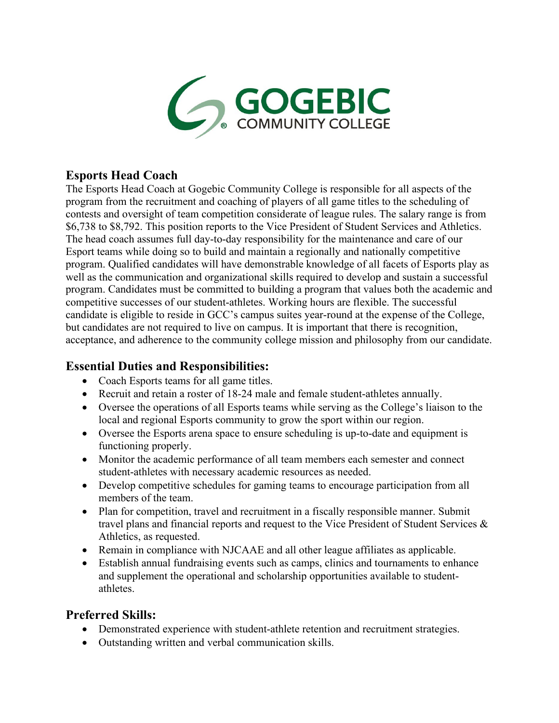

# **Esports Head Coach**

The Esports Head Coach at Gogebic Community College is responsible for all aspects of the program from the recruitment and coaching of players of all game titles to the scheduling of contests and oversight of team competition considerate of league rules. The salary range is from \$6,738 to \$8,792. This position reports to the Vice President of Student Services and Athletics. The head coach assumes full day-to-day responsibility for the maintenance and care of our Esport teams while doing so to build and maintain a regionally and nationally competitive program. Qualified candidates will have demonstrable knowledge of all facets of Esports play as well as the communication and organizational skills required to develop and sustain a successful program. Candidates must be committed to building a program that values both the academic and competitive successes of our student-athletes. Working hours are flexible. The successful candidate is eligible to reside in GCC's campus suites year-round at the expense of the College, but candidates are not required to live on campus. It is important that there is recognition, acceptance, and adherence to the community college mission and philosophy from our candidate.

## **Essential Duties and Responsibilities:**

- Coach Esports teams for all game titles.
- Recruit and retain a roster of 18-24 male and female student-athletes annually.
- Oversee the operations of all Esports teams while serving as the College's liaison to the local and regional Esports community to grow the sport within our region.
- Oversee the Esports arena space to ensure scheduling is up-to-date and equipment is functioning properly.
- Monitor the academic performance of all team members each semester and connect student-athletes with necessary academic resources as needed.
- Develop competitive schedules for gaming teams to encourage participation from all members of the team.
- Plan for competition, travel and recruitment in a fiscally responsible manner. Submit travel plans and financial reports and request to the Vice President of Student Services & Athletics, as requested.
- Remain in compliance with NJCAAE and all other league affiliates as applicable.
- Establish annual fundraising events such as camps, clinics and tournaments to enhance and supplement the operational and scholarship opportunities available to studentathletes.

## **Preferred Skills:**

- Demonstrated experience with student-athlete retention and recruitment strategies.
- Outstanding written and verbal communication skills.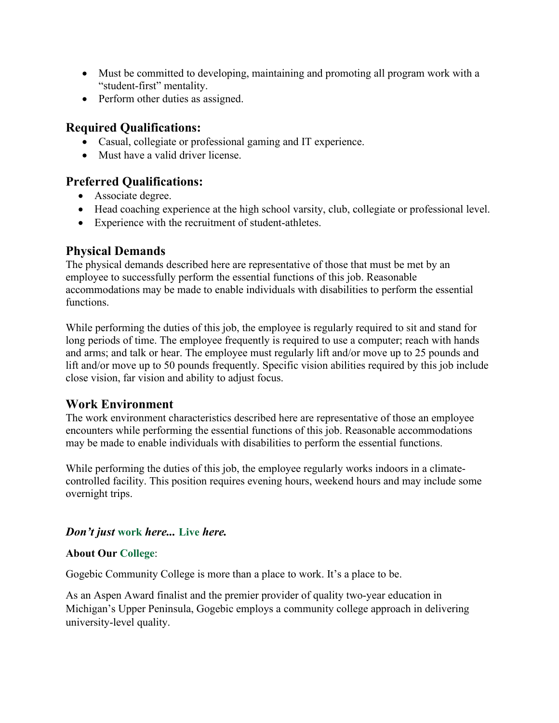- Must be committed to developing, maintaining and promoting all program work with a "student-first" mentality.
- Perform other duties as assigned.

## **Required Qualifications:**

- Casual, collegiate or professional gaming and IT experience.
- Must have a valid driver license.

### **Preferred Qualifications:**

- Associate degree.
- Head coaching experience at the high school varsity, club, collegiate or professional level.
- Experience with the recruitment of student-athletes.

## **Physical Demands**

The physical demands described here are representative of those that must be met by an employee to successfully perform the essential functions of this job. Reasonable accommodations may be made to enable individuals with disabilities to perform the essential functions.

While performing the duties of this job, the employee is regularly required to sit and stand for long periods of time. The employee frequently is required to use a computer; reach with hands and arms; and talk or hear. The employee must regularly lift and/or move up to 25 pounds and lift and/or move up to 50 pounds frequently. Specific vision abilities required by this job include close vision, far vision and ability to adjust focus.

## **Work Environment**

The work environment characteristics described here are representative of those an employee encounters while performing the essential functions of this job. Reasonable accommodations may be made to enable individuals with disabilities to perform the essential functions.

While performing the duties of this job, the employee regularly works indoors in a climatecontrolled facility. This position requires evening hours, weekend hours and may include some overnight trips.

## *Don't just* **work** *here...* **Live** *here.*

#### **About Our College**:

Gogebic Community College is more than a place to work. It's a place to be.

As an Aspen Award finalist and the premier provider of quality two-year education in Michigan's Upper Peninsula, Gogebic employs a community college approach in delivering university-level quality.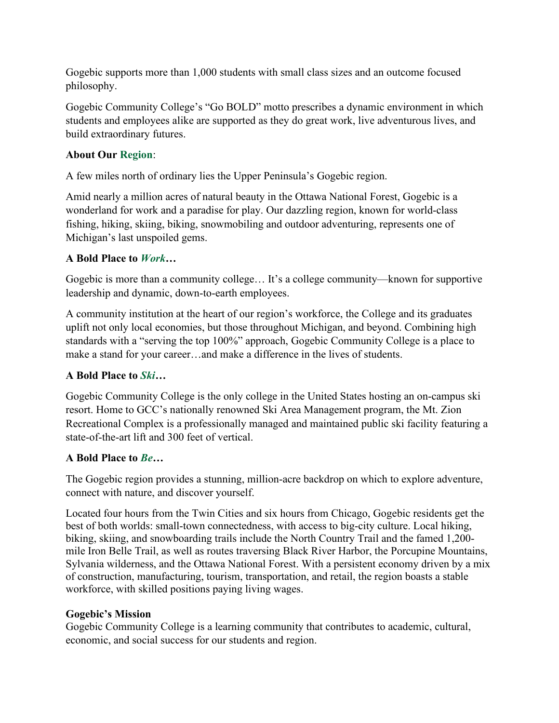Gogebic supports more than 1,000 students with small class sizes and an outcome focused philosophy.

Gogebic Community College's "Go BOLD" motto prescribes a dynamic environment in which students and employees alike are supported as they do great work, live adventurous lives, and build extraordinary futures.

### **About Our Region**:

A few miles north of ordinary lies the Upper Peninsula's Gogebic region.

Amid nearly a million acres of natural beauty in the Ottawa National Forest, Gogebic is a wonderland for work and a paradise for play. Our dazzling region, known for world-class fishing, hiking, skiing, biking, snowmobiling and outdoor adventuring, represents one of Michigan's last unspoiled gems.

#### **A Bold Place to** *Work***…**

Gogebic is more than a community college… It's a college community—known for supportive leadership and dynamic, down-to-earth employees.

A community institution at the heart of our region's workforce, the College and its graduates uplift not only local economies, but those throughout Michigan, and beyond. Combining high standards with a "serving the top 100%" approach, Gogebic Community College is a place to make a stand for your career…and make a difference in the lives of students.

### **A Bold Place to** *Ski…*

Gogebic Community College is the only college in the United States hosting an on-campus ski resort. Home to GCC's nationally renowned Ski Area Management program, the Mt. Zion Recreational Complex is a professionally managed and maintained public ski facility featuring a state-of-the-art lift and 300 feet of vertical.

### **A Bold Place to** *Be…*

The Gogebic region provides a stunning, million-acre backdrop on which to explore adventure, connect with nature, and discover yourself.

Located four hours from the Twin Cities and six hours from Chicago, Gogebic residents get the best of both worlds: small-town connectedness, with access to big-city culture. Local hiking, biking, skiing, and snowboarding trails include the North Country Trail and the famed 1,200 mile Iron Belle Trail, as well as routes traversing Black River Harbor, the Porcupine Mountains, Sylvania wilderness, and the Ottawa National Forest. With a persistent economy driven by a mix of construction, manufacturing, tourism, transportation, and retail, the region boasts a stable workforce, with skilled positions paying living wages.

### **Gogebic's Mission**

Gogebic Community College is a learning community that contributes to academic, cultural, economic, and social success for our students and region.